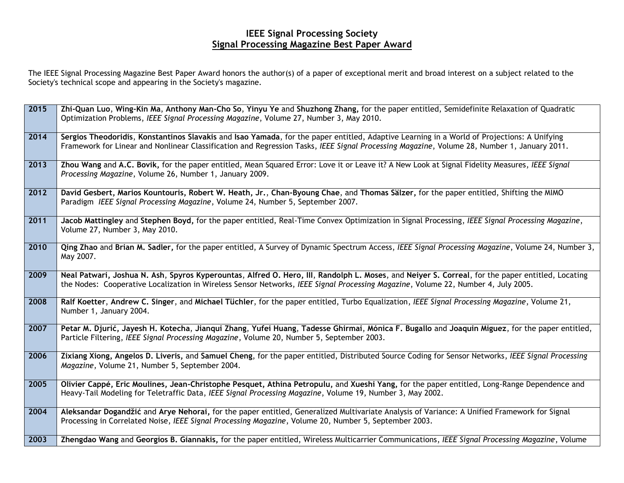## **IEEE Signal Processing Society Signal Processing Magazine Best Paper Award**

The IEEE Signal Processing Magazine Best Paper Award honors the author(s) of a paper of exceptional merit and broad interest on a subject related to the Society's technical scope and appearing in the Society's magazine.

| 2015 | Zhi-Quan Luo, Wing-Kin Ma, Anthony Man-Cho So, Yinyu Ye and Shuzhong Zhang, for the paper entitled, Semidefinite Relaxation of Quadratic<br>Optimization Problems, IEEE Signal Processing Magazine, Volume 27, Number 3, May 2010.                                                         |
|------|--------------------------------------------------------------------------------------------------------------------------------------------------------------------------------------------------------------------------------------------------------------------------------------------|
| 2014 | Sergios Theodoridis, Konstantinos Slavakis and Isao Yamada, for the paper entitled, Adaptive Learning in a World of Projections: A Unifying<br>Framework for Linear and Nonlinear Classification and Regression Tasks, IEEE Signal Processing Magazine, Volume 28, Number 1, January 2011. |
| 2013 | Zhou Wang and A.C. Bovik, for the paper entitled, Mean Squared Error: Love it or Leave it? A New Look at Signal Fidelity Measures, IEEE Signal<br>Processing Magazine, Volume 26, Number 1, January 2009.                                                                                  |
| 2012 | David Gesbert, Marios Kountouris, Robert W. Heath, Jr., Chan-Byoung Chae, and Thomas Sälzer, for the paper entitled, Shifting the MIMO<br>Paradigm IEEE Signal Processing Magazine, Volume 24, Number 5, September 2007.                                                                   |
| 2011 | Jacob Mattingley and Stephen Boyd, for the paper entitled, Real-Time Convex Optimization in Signal Processing, IEEE Signal Processing Magazine,<br>Volume 27, Number 3, May 2010.                                                                                                          |
| 2010 | Qing Zhao and Brian M. Sadler, for the paper entitled, A Survey of Dynamic Spectrum Access, IEEE Signal Processing Magazine, Volume 24, Number 3,<br>May 2007.                                                                                                                             |
| 2009 | Neal Patwari, Joshua N. Ash, Spyros Kyperountas, Alfred O. Hero, III, Randolph L. Moses, and Neiyer S. Correal, for the paper entitled, Locating<br>the Nodes: Cooperative Localization in Wireless Sensor Networks, IEEE Signal Processing Magazine, Volume 22, Number 4, July 2005.      |
| 2008 | Ralf Koetter, Andrew C. Singer, and Michael Tüchler, for the paper entitled, Turbo Equalization, IEEE Signal Processing Magazine, Volume 21,<br>Number 1, January 2004.                                                                                                                    |
| 2007 | Petar M. Djurić, Jayesh H. Kotecha, Jianqui Zhang, Yufei Huang, Tadesse Ghirmai, Mónica F. Bugallo and Joaquin Miguez, for the paper entitled,<br>Particle Filtering, IEEE Signal Processing Magazine, Volume 20, Number 5, September 2003.                                                |
| 2006 | Zixiang Xiong, Angelos D. Liveris, and Samuel Cheng, for the paper entitled, Distributed Source Coding for Sensor Networks, IEEE Signal Processing<br>Magazine, Volume 21, Number 5, September 2004.                                                                                       |
| 2005 | Olivier Cappé, Eric Moulines, Jean-Christophe Pesquet, Athina Petropulu, and Xueshi Yang, for the paper entitled, Long-Range Dependence and<br>Heavy-Tail Modeling for Teletraffic Data, IEEE Signal Processing Magazine, Volume 19, Number 3, May 2002.                                   |
| 2004 | Aleksandar Dogandžić and Arye Nehorai, for the paper entitled, Generalized Multivariate Analysis of Variance: A Unified Framework for Signal<br>Processing in Correlated Noise, IEEE Signal Processing Magazine, Volume 20, Number 5, September 2003.                                      |
| 2003 | Zhengdao Wang and Georgios B. Giannakis, for the paper entitled, Wireless Multicarrier Communications, IEEE Signal Processing Magazine, Volume                                                                                                                                             |